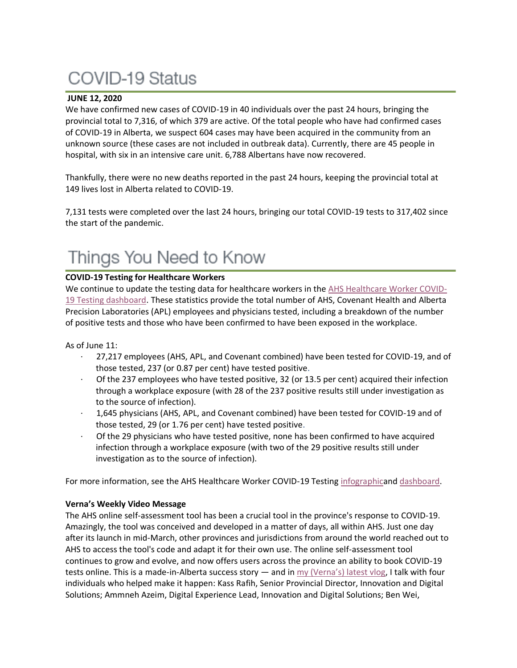# **COVID-19 Status**

### **JUNE 12, 2020**

We have confirmed new cases of COVID-19 in 40 individuals over the past 24 hours, bringing the provincial total to 7,316, of which 379 are active. Of the total people who have had confirmed cases of COVID-19 in Alberta, we suspect 604 cases may have been acquired in the community from an unknown source (these cases are not included in outbreak data). Currently, there are 45 people in hospital, with six in an intensive care unit. 6,788 Albertans have now recovered.

Thankfully, there were no new deaths reported in the past 24 hours, keeping the provincial total at 149 lives lost in Alberta related to COVID-19.

7,131 tests were completed over the last 24 hours, bringing our total COVID-19 tests to 317,402 since the start of the pandemic.

## Things You Need to Know

### **COVID-19 Testing for Healthcare Workers**

We continue to update the testing data for healthcare workers in the [AHS Healthcare Worker COVID-](https://tableau.albertahealthservices.ca/#/views/AHSEmployeePhysicianCOVID-19TestSurveillanceDashboard/Introduction?:iid=1)[19 Testing dashboard.](https://tableau.albertahealthservices.ca/#/views/AHSEmployeePhysicianCOVID-19TestSurveillanceDashboard/Introduction?:iid=1) These statistics provide the total number of AHS, Covenant Health and Alberta Precision Laboratories (APL) employees and physicians tested, including a breakdown of the number of positive tests and those who have been confirmed to have been exposed in the workplace.

### As of June 11:

- · 27,217 employees (AHS, APL, and Covenant combined) have been tested for COVID-19, and of those tested, 237 (or 0.87 per cent) have tested positive.
- · Of the 237 employees who have tested positive, 32 (or 13.5 per cent) acquired their infection through a workplace exposure (with 28 of the 237 positive results still under investigation as to the source of infection).
- · 1,645 physicians (AHS, APL, and Covenant combined) have been tested for COVID-19 and of those tested, 29 (or 1.76 per cent) have tested positive.
- · Of the 29 physicians who have tested positive, none has been confirmed to have acquired infection through a workplace exposure (with two of the 29 positive results still under investigation as to the source of infection).

For more information, see the AHS Healthcare Worker COVID-19 Testing [infographica](https://insite.albertahealthservices.ca/main/assets/tls/ep/tls-ep-covid-19-healthcare-worker-testing-infographic.pdf)nd [dashboard.](https://tableau.albertahealthservices.ca/#/views/AHSEmployeePhysicianCOVID-19TestSurveillanceDashboard/Introduction?:iid=1)

### **Verna's Weekly Video Message**

The AHS online self-assessment tool has been a crucial tool in the province's response to COVID-19. Amazingly, the tool was conceived and developed in a matter of days, all within AHS. Just one day after its launch in mid-March, other provinces and jurisdictions from around the world reached out to AHS to access the tool's code and adapt it for their own use. The online self-assessment tool continues to grow and evolve, and now offers users across the province an ability to book COVID-19 tests online. This is a made-in-Alberta success story  $-$  and in  $\frac{my}{V}$  (Verna's) latest vlog, I talk with four individuals who helped make it happen: Kass Rafih, Senior Provincial Director, Innovation and Digital Solutions; Ammneh Azeim, Digital Experience Lead, Innovation and Digital Solutions; Ben Wei,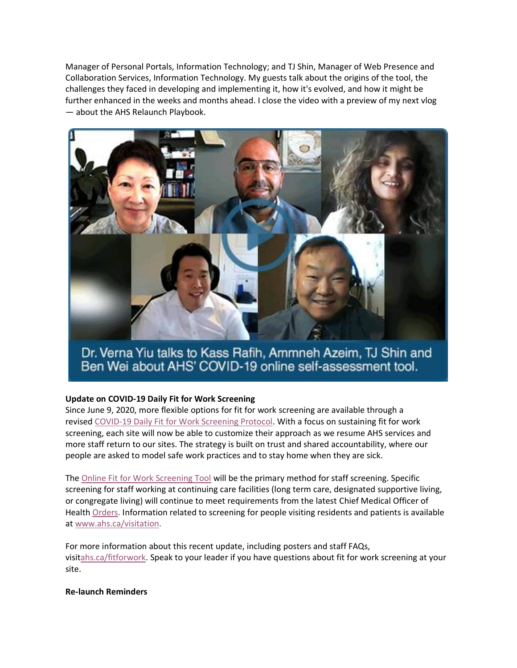Manager of Personal Portals, Information Technology; and TJ Shin, Manager of Web Presence and Collaboration Services, Information Technology. My guests talk about the origins of the tool, the challenges they faced in developing and implementing it, how it's evolved, and how it might be further enhanced in the weeks and months ahead. I close the video with a preview of my next vlog — about the AHS Relaunch Playbook.



Dr. Verna Yiu talks to Kass Rafih, Ammneh Azeim, TJ Shin and Ben Wei about AHS' COVID-19 online self-assessment tool.

### **Update on COVID-19 Daily Fit for Work Screening**

Since June 9, 2020, more flexible options for fit for work screening are available through a revised [COVID-19 Daily Fit for Work Screening Protocol.](https://www.albertahealthservices.ca/assets/info/ppih/if-ppih-covid-19-daily-fitness-for-work-screening-protocols.pdf) With a focus on sustaining fit for work screening, each site will now be able to customize their approach as we resume AHS services and more staff return to our sites. The strategy is built on trust and shared accountability, where our people are asked to model safe work practices and to stay home when they are sick.

The [Online Fit for Work Screening Tool](https://www.albertahealthservices.ca/topics/Page17076.aspx) will be the primary method for staff screening. Specific screening for staff working at continuing care facilities (long term care, designated supportive living, or congregate living) will continue to meet requirements from the latest Chief Medical Officer of Health [Orders.](https://www.alberta.ca/covid-19-orders-and-legislation.aspx) Information related to screening for people visiting residents and patients is available at [www.ahs.ca/visitation.](http://www.ahs.ca/visitation)

For more information about this recent update, including posters and staff FAQs, visi[tahs.ca/fitforwork.](https://www.albertahealthservices.ca/topics/Page17076.aspx) Speak to your leader if you have questions about fit for work screening at your site.

### **Re-launch Reminders**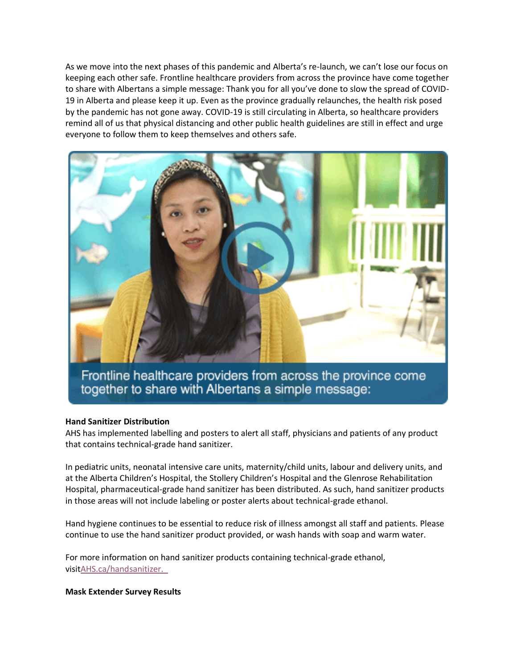As we move into the next phases of this pandemic and Alberta's re-launch, we can't lose our focus on keeping each other safe. Frontline healthcare providers from across the province have come together to share with Albertans a simple message: Thank you for all you've done to slow the spread of COVID-19 in Alberta and please keep it up. Even as the province gradually relaunches, the health risk posed by the pandemic has not gone away. COVID-19 is still circulating in Alberta, so healthcare providers remind all of us that physical distancing and other public health guidelines are still in effect and urge everyone to follow them to keep themselves and others safe.



Frontline healthcare providers from across the province come together to share with Albertans a simple message:

### **Hand Sanitizer Distribution**

AHS has implemented labelling and posters to alert all staff, physicians and patients of any product that contains technical-grade hand sanitizer.

In pediatric units, neonatal intensive care units, maternity/child units, labour and delivery units, and at the Alberta Children's Hospital, the Stollery Children's Hospital and the Glenrose Rehabilitation Hospital, pharmaceutical-grade hand sanitizer has been distributed. As such, hand sanitizer products in those areas will not include labeling or poster alerts about technical-grade ethanol.

Hand hygiene continues to be essential to reduce risk of illness amongst all staff and patients. Please continue to use the hand sanitizer product provided, or wash hands with soap and warm water.

For more information on hand sanitizer products containing technical-grade ethanol, visi[tAHS.ca/handsanitizer.](http://www.ahs.ca/handsanitizer) 

**Mask Extender Survey Results**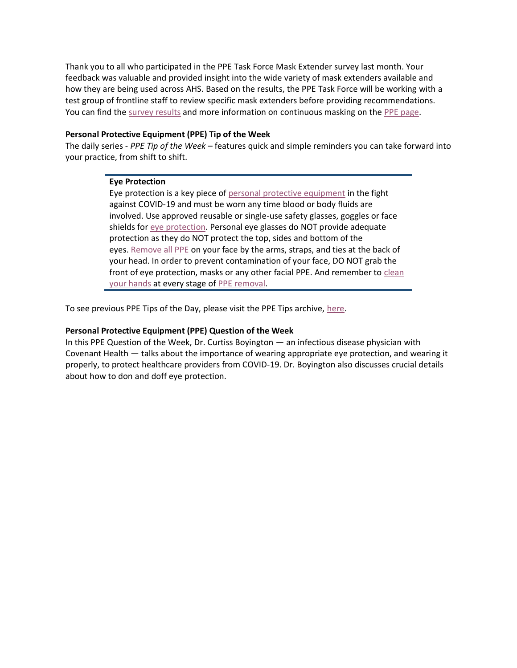Thank you to all who participated in the PPE Task Force Mask Extender survey last month. Your feedback was valuable and provided insight into the wide variety of mask extenders available and how they are being used across AHS. Based on the results, the PPE Task Force will be working with a test group of frontline staff to review specific mask extenders before providing recommendations. You can find the [survey results](https://www.albertahealthservices.ca/assets/info/ppih/if-ppih-covid-19-mask-extender-survey-results.pdf) and more information on continuous masking on the [PPE page.](https://www.albertahealthservices.ca/topics/Page17048.aspx)

### **Personal Protective Equipment (PPE) Tip of the Week**

The daily series - *PPE Tip of the Week* – features quick and simple reminders you can take forward into your practice, from shift to shift.

### **Eye Protection**

Eye protection is a key piece of [personal protective equipment](https://www.albertahealthservices.ca/topics/Page17048.aspx) in the fight against COVID-19 and must be worn any time blood or body fluids are involved. Use approved reusable or single-use safety glasses, goggles or face shields for [eye protection.](https://www.albertahealthservices.ca/assets/healthinfo/ipc/hi-ipc-routine-practices-info.pdf) Personal eye glasses do NOT provide adequate protection as they do NOT protect the top, sides and bottom of the eyes. [Remove all PPE](https://www.albertahealthservices.ca/assets/Infofor/hp/if-hp-ipc-doffing-ppe-poster.pdf) on your face by the arms, straps, and ties at the back of your head. In order to prevent contamination of your face, DO NOT grab the front of eye protection, masks or any other facial PPE. And remember to [clean](https://www.albertahealthservices.ca/assets/healthinfo/ipc/if-hp-ipc-flu-handwash-how-to.pdf)  [your hands](https://www.albertahealthservices.ca/assets/healthinfo/ipc/if-hp-ipc-flu-handwash-how-to.pdf) at every stage of [PPE removal.](https://www.albertahealthservices.ca/assets/Infofor/hp/if-hp-ipc-doffing-ppe-poster.pdf)

To see previous PPE Tips of the Day, please visit the PPE Tips archive, [here.](https://www.albertahealthservices.ca/topics/Page17119.aspx)

### **Personal Protective Equipment (PPE) Question of the Week**

In this PPE Question of the Week, Dr. Curtiss Boyington — an infectious disease physician with Covenant Health — talks about the importance of wearing appropriate eye protection, and wearing it properly, to protect healthcare providers from COVID-19. Dr. Boyington also discusses crucial details about how to don and doff eye protection.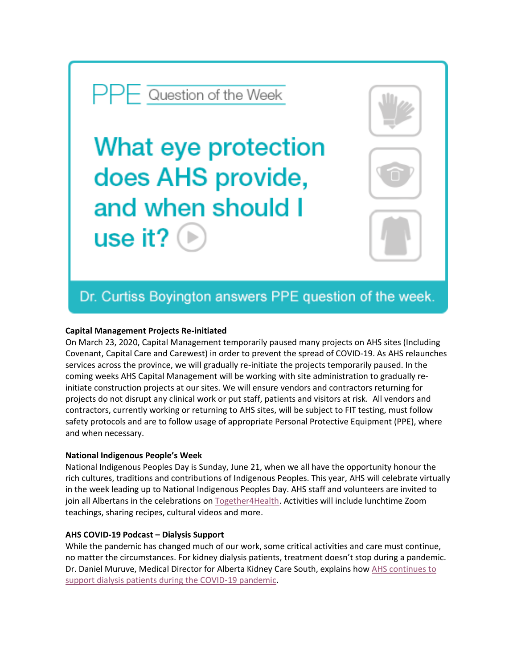### $-$  Question of the Week

What eye protection does AHS provide, and when should I use it?  $\mid$ 



### Dr. Curtiss Boyington answers PPE question of the week.

### **Capital Management Projects Re-initiated**

On March 23, 2020, Capital Management temporarily paused many projects on AHS sites (Including Covenant, Capital Care and Carewest) in order to prevent the spread of COVID-19. As AHS relaunches services across the province, we will gradually re-initiate the projects temporarily paused. In the coming weeks AHS Capital Management will be working with site administration to gradually reinitiate construction projects at our sites. We will ensure vendors and contractors returning for projects do not disrupt any clinical work or put staff, patients and visitors at risk. All vendors and contractors, currently working or returning to AHS sites, will be subject to FIT testing, must follow safety protocols and are to follow usage of appropriate Personal Protective Equipment (PPE), where and when necessary.

### **National Indigenous People's Week**

National Indigenous Peoples Day is Sunday, June 21, when we all have the opportunity honour the rich cultures, traditions and contributions of Indigenous Peoples. This year, AHS will celebrate virtually in the week leading up to National Indigenous Peoples Day. AHS staff and volunteers are invited to join all Albertans in the celebrations on [Together4Health.](https://together4health.albertahealthservices.ca/2020-national-indigenous-peoples-week) Activities will include lunchtime Zoom teachings, sharing recipes, cultural videos and more.

### **AHS COVID-19 Podcast – Dialysis Support**

While the pandemic has changed much of our work, some critical activities and care must continue, no matter the circumstances. For kidney dialysis patients, treatment doesn't stop during a pandemic. Dr. Daniel Muruve, Medical Director for Alberta Kidney Care South, explains how AHS continues to [support dialysis patients during the COVID-19 pandemic.](http://www.ahs.ca/covidpodcast)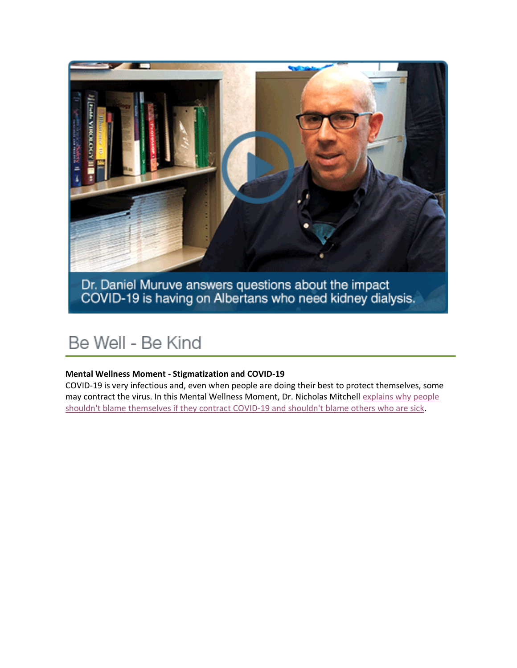

## Be Well - Be Kind

### **Mental Wellness Moment - Stigmatization and COVID-19**

COVID-19 is very infectious and, even when people are doing their best to protect themselves, some may contract the virus. In this Mental Wellness Moment, Dr. Nicholas Mitchell explains why people [shouldn't blame themselves if they contract COVID-19 and shouldn't blame others who are sick.](https://youtu.be/T7A4cBTN55c)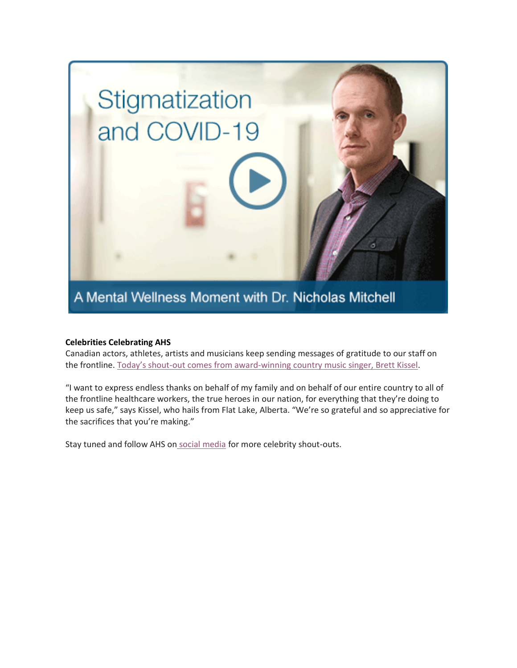

### **Celebrities Celebrating AHS**

Canadian actors, athletes, artists and musicians keep sending messages of gratitude to our staff on the frontline. Today's shout[-out comes from award-winning country music singer, Brett Kissel.](https://youtu.be/noecxqbz9so)

"I want to express endless thanks on behalf of my family and on behalf of our entire country to all of the frontline healthcare workers, the true heroes in our nation, for everything that they're doing to keep us safe," says Kissel, who hails from Flat Lake, Alberta. "We're so grateful and so appreciative for the sacrifices that you're making."

Stay tuned and follow AHS on social [media](https://www.instagram.com/albertahealthservices/) for more celebrity shout-outs.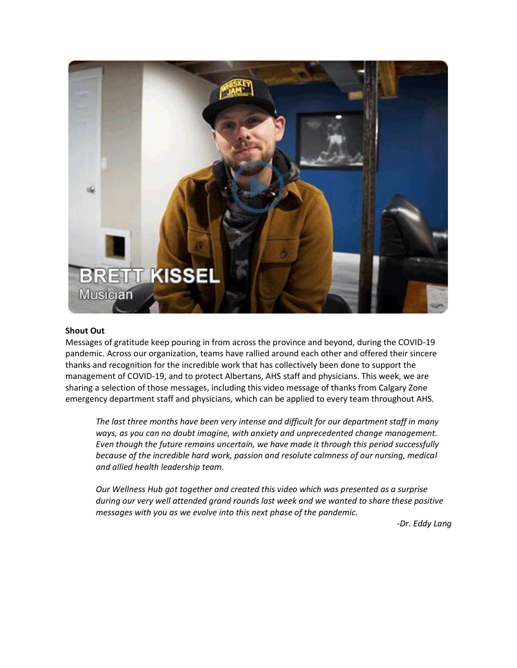

### **Shout Out**

Messages of gratitude keep pouring in from across the province and beyond, during the COVID-19 pandemic. Across our organization, teams have rallied around each other and offered their sincere thanks and recognition for the incredible work that has collectively been done to support the management of COVID-19, and to protect Albertans, AHS staff and physicians. This week, we are sharing a selection of those messages, including this video message of thanks from Calgary Zone emergency department staff and physicians, which can be applied to every team throughout AHS.

*The last three months have been very intense and difficult for our department staff in many ways, as you can no doubt imagine, with anxiety and unprecedented change management. Even though the future remains uncertain, we have made it through this period successfully because of the incredible hard work, passion and resolute calmness of our nursing, medical and allied health leadership team.*

*Our Wellness Hub got together and created this video which was presented as a surprise during our very well attended grand rounds last week and we wanted to share these positive messages with you as we evolve into this next phase of the pandemic.*

*-Dr. Eddy Lang*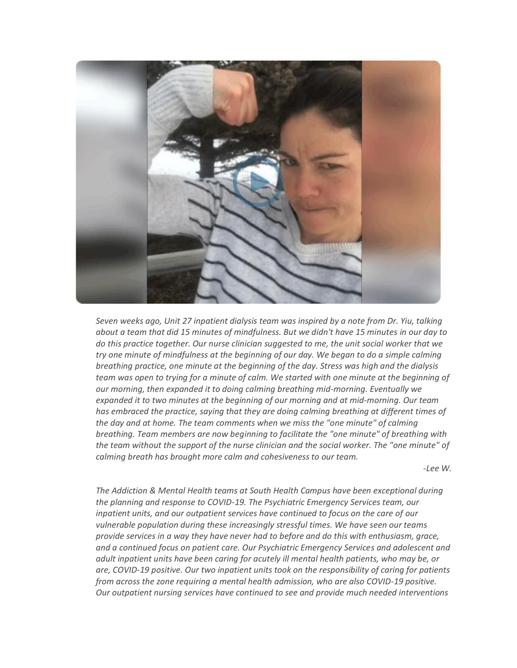

*Seven weeks ago, Unit 27 inpatient dialysis team was inspired by a note from Dr. Yiu, talking about a team that did 15 minutes of mindfulness. But we didn't have 15 minutes in our day to do this practice together. Our nurse clinician suggested to me, the unit social worker that we try one minute of mindfulness at the beginning of our day. We began to do a simple calming breathing practice, one minute at the beginning of the day. Stress was high and the dialysis team was open to trying for a minute of calm. We started with one minute at the beginning of our morning, then expanded it to doing calming breathing mid-morning. Eventually we expanded it to two minutes at the beginning of our morning and at mid-morning. Our team has embraced the practice, saying that they are doing calming breathing at different times of the day and at home. The team comments when we miss the "one minute" of calming breathing. Team members are now beginning to facilitate the "one minute" of breathing with the team without the support of the nurse clinician and the social worker. The "one minute" of calming breath has brought more calm and cohesiveness to our team.*

*-Lee W.*

*The Addiction & Mental Health teams at South Health Campus have been exceptional during the planning and response to COVID-19. The Psychiatric Emergency Services team, our inpatient units, and our outpatient services have continued to focus on the care of our vulnerable population during these increasingly stressful times. We have seen our teams provide services in a way they have never had to before and do this with enthusiasm, grace, and a continued focus on patient care. Our Psychiatric Emergency Services and adolescent and adult inpatient units have been caring for acutely ill mental health patients, who may be, or are, COVID-19 positive. Our two inpatient units took on the responsibility of caring for patients from across the zone requiring a mental health admission, who are also COVID-19 positive. Our outpatient nursing services have continued to see and provide much needed interventions*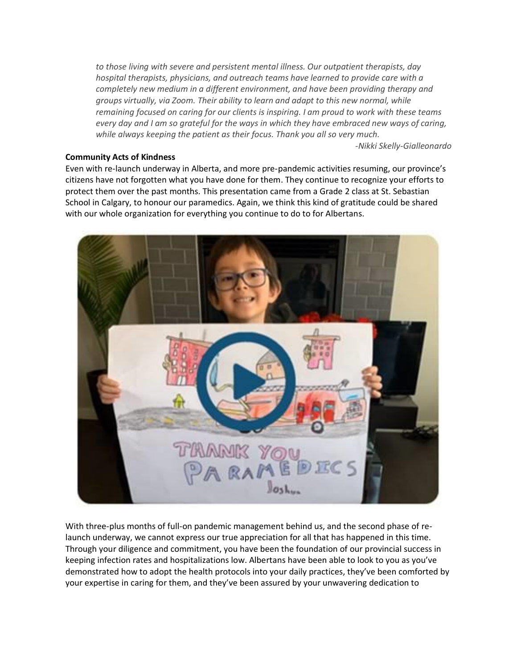*to those living with severe and persistent mental illness. Our outpatient therapists, day hospital therapists, physicians, and outreach teams have learned to provide care with a completely new medium in a different environment, and have been providing therapy and groups virtually, via Zoom. Their ability to learn and adapt to this new normal, while remaining focused on caring for our clients is inspiring. I am proud to work with these teams every day and I am so grateful for the ways in which they have embraced new ways of caring, while always keeping the patient as their focus. Thank you all so very much.*

*-Nikki Skelly-Gialleonardo*

### **Community Acts of Kindness**

Even with re-launch underway in Alberta, and more pre-pandemic activities resuming, our province's citizens have not forgotten what you have done for them. They continue to recognize your efforts to protect them over the past months. This presentation came from a Grade 2 class at St. Sebastian School in Calgary, to honour our paramedics. Again, we think this kind of gratitude could be shared with our whole organization for everything you continue to do to for Albertans.



With three-plus months of full-on pandemic management behind us, and the second phase of relaunch underway, we cannot express our true appreciation for all that has happened in this time. Through your diligence and commitment, you have been the foundation of our provincial success in keeping infection rates and hospitalizations low. Albertans have been able to look to you as you've demonstrated how to adopt the health protocols into your daily practices, they've been comforted by your expertise in caring for them, and they've been assured by your unwavering dedication to